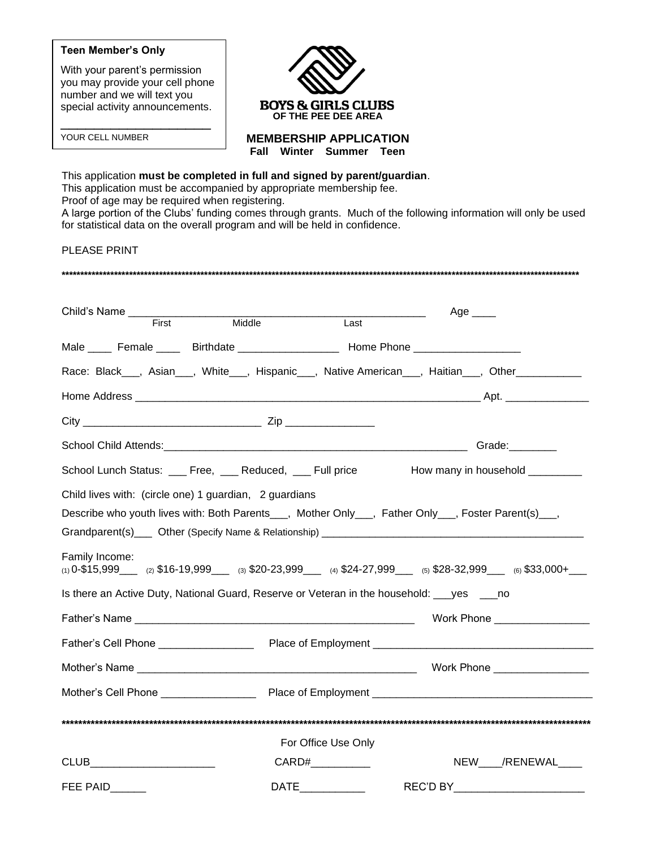#### **Teen Member's Only**

With your parent's permission you may provide your cell phone number and we will text you special activity announcements.

\_\_\_\_\_\_\_\_\_\_\_\_\_\_\_\_\_\_

YOUR CELL NUMBER



**MEMBERSHIP APPLICATION**

**Fall Winter Summer Teen**

This application **must be completed in full and signed by parent/guardian**. This application must be accompanied by appropriate membership fee. Proof of age may be required when registering. A large portion of the Clubs' funding comes through grants. Much of the following information will only be used for statistical data on the overall program and will be held in confidence. PLEASE PRINT **\*\*\*\*\*\*\*\*\*\*\*\*\*\*\*\*\*\*\*\*\*\*\*\*\*\*\*\*\*\*\*\*\*\*\*\*\*\*\*\*\*\*\*\*\*\*\*\*\*\*\*\*\*\*\*\*\*\*\*\*\*\*\*\*\*\*\*\*\*\*\*\*\*\*\*\*\*\*\*\*\*\*\*\*\*\*\*\*\*\*\*\*\*\*\*\*\*\*\*\*\*\*\*\*\*\*\*\*\*\*\*\*\*\*\*\*\*\*\*\*\*\*\*\*\*\*\*\*\*\*\*\*\*\*\*\*\*\***

| Child's Name ___________________ |                                                                                             |                     | Age $\_\_\_\_\$                                                                                     |
|----------------------------------|---------------------------------------------------------------------------------------------|---------------------|-----------------------------------------------------------------------------------------------------|
| First                            | Middle                                                                                      | Last                |                                                                                                     |
|                                  | Male ____ Female ____ Birthdate _________________ Home Phone ___________________            |                     |                                                                                                     |
|                                  |                                                                                             |                     | Race: Black___, Asian___, White___, Hispanic___, Native American___, Haitian___, Other___________   |
|                                  |                                                                                             |                     |                                                                                                     |
|                                  |                                                                                             |                     |                                                                                                     |
|                                  |                                                                                             |                     | Grade:                                                                                              |
|                                  | School Lunch Status: ___ Free, ___ Reduced, ___ Full price                                  |                     | How many in household _________                                                                     |
|                                  | Child lives with: (circle one) 1 guardian, 2 guardians                                      |                     |                                                                                                     |
|                                  |                                                                                             |                     | Describe who youth lives with: Both Parents___, Mother Only___, Father Only___, Foster Parent(s)__, |
|                                  |                                                                                             |                     |                                                                                                     |
| Family Income:                   |                                                                                             |                     | (1) $0-15,999$ (2) $16-19,999$ (3) $20-23,999$ (4) $24-27,999$ (5) $28-32,999$ (6) $33,000+$        |
|                                  | Is there an Active Duty, National Guard, Reserve or Veteran in the household: ___yes ____no |                     |                                                                                                     |
|                                  |                                                                                             |                     | Work Phone _________________                                                                        |
|                                  |                                                                                             |                     |                                                                                                     |
|                                  |                                                                                             |                     |                                                                                                     |
|                                  |                                                                                             |                     |                                                                                                     |
|                                  |                                                                                             |                     |                                                                                                     |
|                                  |                                                                                             | For Office Use Only |                                                                                                     |
| CLUB__________________________   |                                                                                             | CARD#               | NEW ___/RENEWAL____                                                                                 |
| FEE PAID______                   | <b>DATE</b>                                                                                 |                     | REC'D BY                                                                                            |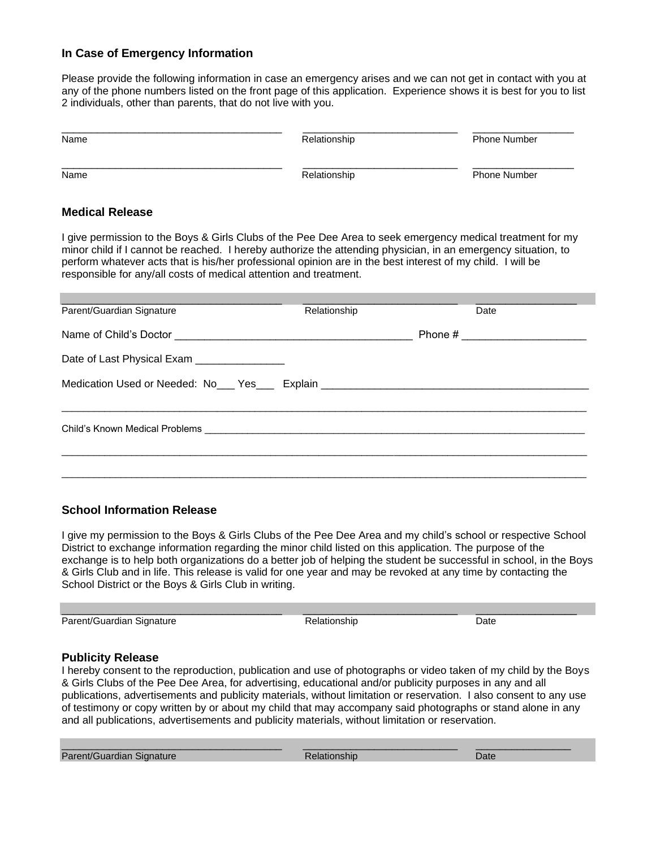### **In Case of Emergency Information**

Please provide the following information in case an emergency arises and we can not get in contact with you at any of the phone numbers listed on the front page of this application. Experience shows it is best for you to list 2 individuals, other than parents, that do not live with you.

| Name                                                                                                                                                                                                                                                                                                                                                                                                           | Relationship | Phone Number |  |  |  |  |  |
|----------------------------------------------------------------------------------------------------------------------------------------------------------------------------------------------------------------------------------------------------------------------------------------------------------------------------------------------------------------------------------------------------------------|--------------|--------------|--|--|--|--|--|
| Name                                                                                                                                                                                                                                                                                                                                                                                                           | Relationship | Phone Number |  |  |  |  |  |
| <b>Medical Release</b>                                                                                                                                                                                                                                                                                                                                                                                         |              |              |  |  |  |  |  |
| I give permission to the Boys & Girls Clubs of the Pee Dee Area to seek emergency medical treatment for my<br>minor child if I cannot be reached. I hereby authorize the attending physician, in an emergency situation, to<br>perform whatever acts that is his/her professional opinion are in the best interest of my child. I will be<br>responsible for any/all costs of medical attention and treatment. |              |              |  |  |  |  |  |
| Parent/Guardian Signature                                                                                                                                                                                                                                                                                                                                                                                      | Relationship | Date         |  |  |  |  |  |
|                                                                                                                                                                                                                                                                                                                                                                                                                |              | Phone $\#$   |  |  |  |  |  |
| Date of Last Physical Exam ________________                                                                                                                                                                                                                                                                                                                                                                    |              |              |  |  |  |  |  |
| Medication Used or Needed: No___ Yes____ Explain ________________________________                                                                                                                                                                                                                                                                                                                              |              |              |  |  |  |  |  |
|                                                                                                                                                                                                                                                                                                                                                                                                                |              |              |  |  |  |  |  |
|                                                                                                                                                                                                                                                                                                                                                                                                                |              |              |  |  |  |  |  |

#### **School Information Release**

I give my permission to the Boys & Girls Clubs of the Pee Dee Area and my child's school or respective School District to exchange information regarding the minor child listed on this application. The purpose of the exchange is to help both organizations do a better job of helping the student be successful in school, in the Boys & Girls Club and in life. This release is valid for one year and may be revoked at any time by contacting the School District or the Boys & Girls Club in writing.

\_\_\_\_\_\_\_\_\_\_\_\_\_\_\_\_\_\_\_\_\_\_\_\_\_\_\_\_\_\_\_\_\_\_\_\_\_ \_\_\_\_\_\_\_\_\_\_\_\_\_\_\_\_\_\_\_\_\_\_\_\_\_\_ \_\_\_\_\_\_\_\_\_\_\_\_\_\_\_\_\_ Parent/Guardian Signature **Network** Relationship **Date** Date

#### **Publicity Release**

I hereby consent to the reproduction, publication and use of photographs or video taken of my child by the Boys & Girls Clubs of the Pee Dee Area, for advertising, educational and/or publicity purposes in any and all publications, advertisements and publicity materials, without limitation or reservation. I also consent to any use of testimony or copy written by or about my child that may accompany said photographs or stand alone in any and all publications, advertisements and publicity materials, without limitation or reservation.

\_\_\_\_\_\_\_\_\_\_\_\_\_\_\_\_\_\_\_\_\_\_\_\_\_\_\_\_\_\_\_\_\_\_\_\_\_ \_\_\_\_\_\_\_\_\_\_\_\_\_\_\_\_\_\_\_\_\_\_\_\_\_\_ \_\_\_\_\_\_\_\_\_\_\_\_\_\_\_\_ Parent/Guardian Signature **Date of Contract Contract Contract Contract Contract Contract Contract Contract Contract Contract Contract Contract Contract Contract Contract Contract Contract Contract Contract Contract Contrac**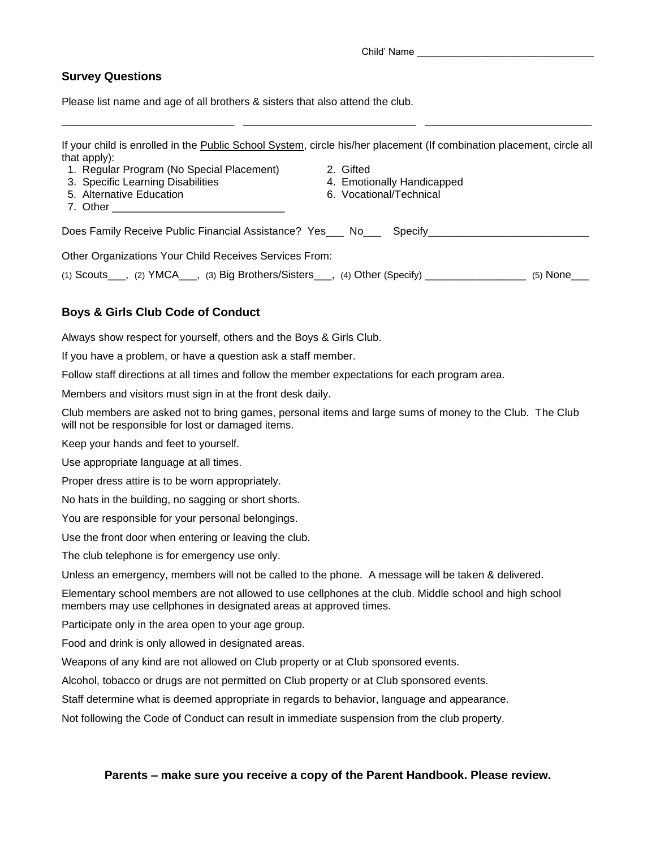Child' Name \_\_\_\_\_\_\_\_\_\_\_\_\_\_\_\_\_\_\_\_\_\_\_\_\_\_\_\_\_\_\_\_\_

## **Survey Questions**

Please list name and age of all brothers & sisters that also attend the club.

| If your child is enrolled in the Public School System, circle his/her placement (If combination placement, circle all<br>that apply): |                            |
|---------------------------------------------------------------------------------------------------------------------------------------|----------------------------|
| 1. Regular Program (No Special Placement)                                                                                             | 2. Gifted                  |
| 3. Specific Learning Disabilities                                                                                                     | 4. Emotionally Handicapped |
| 5. Alternative Education                                                                                                              | 6. Vocational/Technical    |
|                                                                                                                                       |                            |
| Does Family Receive Public Financial Assistance? Yes___ No___ Specify_________                                                        |                            |
| Other Organizations Your Child Receives Services From:                                                                                |                            |
| (1) Scouts $\mu$ , (2) YMCA $\mu$ , (3) Big Brothers/Sisters $\mu$ , (4) Other (Specify) $\mu$                                        | $(5)$ None                 |

\_\_\_\_\_\_\_\_\_\_\_\_\_\_\_\_\_\_\_\_\_\_\_\_\_\_\_\_\_ \_\_\_\_\_\_\_\_\_\_\_\_\_\_\_\_\_\_\_\_\_\_\_\_\_\_\_\_\_ \_\_\_\_\_\_\_\_\_\_\_\_\_\_\_\_\_\_\_\_\_\_\_\_\_\_\_\_

# **Boys & Girls Club Code of Conduct**

Always show respect for yourself, others and the Boys & Girls Club.

If you have a problem, or have a question ask a staff member.

Follow staff directions at all times and follow the member expectations for each program area.

Members and visitors must sign in at the front desk daily.

Club members are asked not to bring games, personal items and large sums of money to the Club. The Club will not be responsible for lost or damaged items.

Keep your hands and feet to yourself.

Use appropriate language at all times.

Proper dress attire is to be worn appropriately.

No hats in the building, no sagging or short shorts.

You are responsible for your personal belongings.

Use the front door when entering or leaving the club.

The club telephone is for emergency use only.

Unless an emergency, members will not be called to the phone. A message will be taken & delivered.

Elementary school members are not allowed to use cellphones at the club. Middle school and high school members may use cellphones in designated areas at approved times.

Participate only in the area open to your age group.

Food and drink is only allowed in designated areas.

Weapons of any kind are not allowed on Club property or at Club sponsored events.

Alcohol, tobacco or drugs are not permitted on Club property or at Club sponsored events.

Staff determine what is deemed appropriate in regards to behavior, language and appearance.

Not following the Code of Conduct can result in immediate suspension from the club property.

#### **Parents – make sure you receive a copy of the Parent Handbook. Please review.**